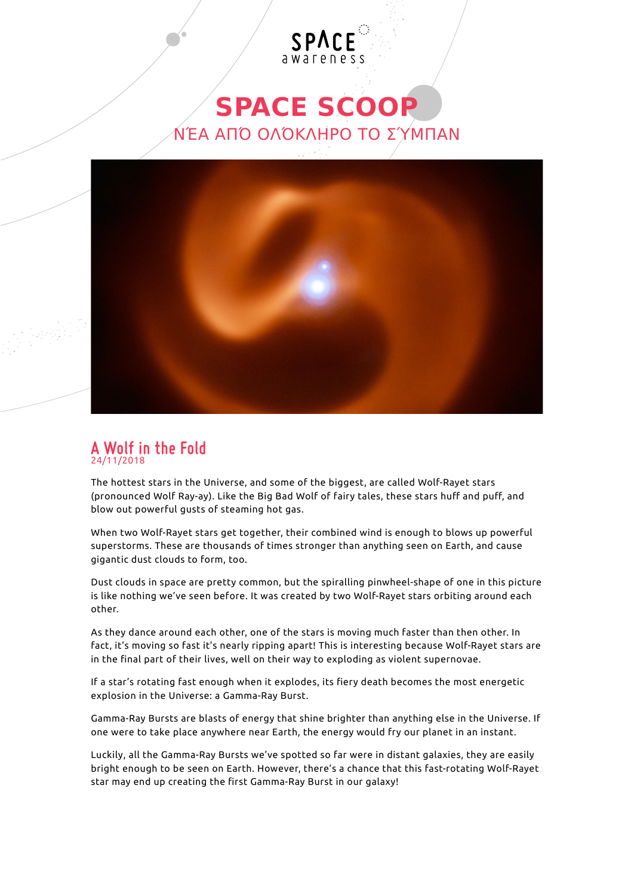## **SPACE SCOOP** ΝΈΑ ΑΠΌ ΟΛΌΚΛΗΡΟ ΤΟ ΣΎΜΠΑΝ

SPACE



## **A Wolf in the Fold** 24/11/2018

The hottest stars in the Universe, and some of the biggest, are called Wolf-Rayet stars (pronounced Wolf Ray-ay). Like the Big Bad Wolf of fairy tales, these stars huff and puff, and blow out powerful gusts of steaming hot gas.

When two Wolf-Rayet stars get together, their combined wind is enough to blows up powerful superstorms. These are thousands of times stronger than anything seen on Earth, and cause gigantic dust clouds to form, too.

Dust clouds in space are pretty common, but the spiralling pinwheel-shape of one in this picture is like nothing we've seen before. It was created by two Wolf-Rayet stars orbiting around each other.

As they dance around each other, one of the stars is moving much faster than then other. In fact, it's moving so fast it's nearly ripping apart! This is interesting because Wolf-Rayet stars are in the final part of their lives, well on their way to exploding as violent supernovae.

If a star's rotating fast enough when it explodes, its fiery death becomes the most energetic explosion in the Universe: a Gamma-Ray Burst.

Gamma-Ray Bursts are blasts of energy that shine brighter than anything else in the Universe. If one were to take place anywhere near Earth, the energy would fry our planet in an instant.

Luckily, all the Gamma-Ray Bursts we've spotted so far were in distant galaxies, they are easily bright enough to be seen on Earth. However, there's a chance that this fast-rotating Wolf-Rayet star may end up creating the first Gamma-Ray Burst in our galaxy!